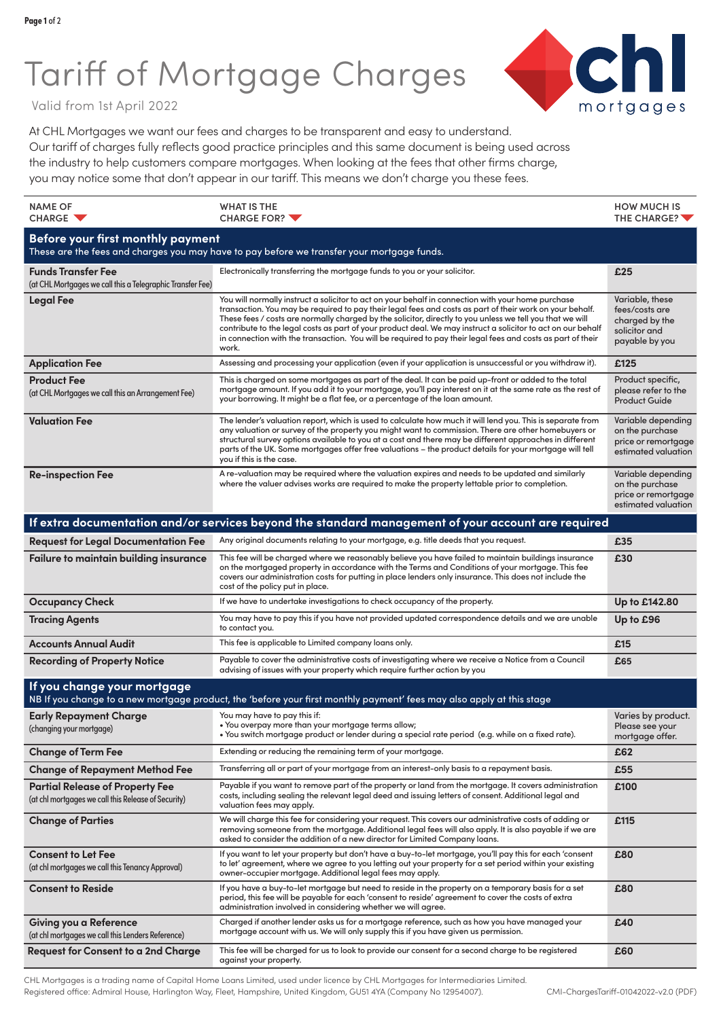## Tariff of Mortgage Charges



Valid from 1st April 2022

At CHL Mortgages we want our fees and charges to be transparent and easy to understand. Our tariff of charges fully reflects good practice principles and this same document is being used across the industry to help customers compare mortgages. When looking at the fees that other firms charge, you may notice some that don't appear in our tariff. This means we don't charge you these fees.

| <b>NAME OF</b><br>CHARGE V                                                                                                             | <b>WHAT IS THE</b><br>CHARGE FOR?                                                                                                                                                                                                                                                                                                                                                                                                                                                                                                                                   | <b>HOW MUCH IS</b><br>THE CHARGE?                                                      |  |  |
|----------------------------------------------------------------------------------------------------------------------------------------|---------------------------------------------------------------------------------------------------------------------------------------------------------------------------------------------------------------------------------------------------------------------------------------------------------------------------------------------------------------------------------------------------------------------------------------------------------------------------------------------------------------------------------------------------------------------|----------------------------------------------------------------------------------------|--|--|
| <b>Before your first monthly payment</b><br>These are the fees and charges you may have to pay before we transfer your mortgage funds. |                                                                                                                                                                                                                                                                                                                                                                                                                                                                                                                                                                     |                                                                                        |  |  |
| <b>Funds Transfer Fee</b><br>(at CHL Mortgages we call this a Telegraphic Transfer Fee)                                                | Electronically transferring the mortgage funds to you or your solicitor.                                                                                                                                                                                                                                                                                                                                                                                                                                                                                            | £25                                                                                    |  |  |
| <b>Legal Fee</b>                                                                                                                       | You will normally instruct a solicitor to act on your behalf in connection with your home purchase<br>transaction. You may be required to pay their legal fees and costs as part of their work on your behalf.<br>These fees / costs are normally charged by the solicitor, directly to you unless we tell you that we will<br>contribute to the legal costs as part of your product deal. We may instruct a solicitor to act on our behalf<br>in connection with the transaction. You will be required to pay their legal fees and costs as part of their<br>work. | Variable, these<br>fees/costs are<br>charged by the<br>solicitor and<br>payable by you |  |  |
| <b>Application Fee</b>                                                                                                                 | Assessing and processing your application (even if your application is unsuccessful or you withdraw it).                                                                                                                                                                                                                                                                                                                                                                                                                                                            | £125                                                                                   |  |  |
| <b>Product Fee</b><br>(at CHL Mortgages we call this an Arrangement Fee)                                                               | This is charged on some mortgages as part of the deal. It can be paid up-front or added to the total<br>mortgage amount. If you add it to your mortgage, you'll pay interest on it at the same rate as the rest of<br>your borrowing. It might be a flat fee, or a percentage of the loan amount.                                                                                                                                                                                                                                                                   | Product specific,<br>please refer to the<br><b>Product Guide</b>                       |  |  |
| <b>Valuation Fee</b>                                                                                                                   | The lender's valuation report, which is used to calculate how much it will lend you. This is separate from<br>any valuation or survey of the property you might want to commission. There are other homebuyers or<br>structural survey options available to you at a cost and there may be different approaches in different<br>parts of the UK. Some mortgages offer free valuations - the product details for your mortgage will tell<br>you if this is the case.                                                                                                 | Variable depending<br>on the purchase<br>price or remortgage<br>estimated valuation    |  |  |
| <b>Re-inspection Fee</b>                                                                                                               | A re-valuation may be required where the valuation expires and needs to be updated and similarly<br>where the valuer advises works are required to make the property lettable prior to completion.                                                                                                                                                                                                                                                                                                                                                                  | Variable depending<br>on the purchase<br>price or remortgage<br>estimated valuation    |  |  |
|                                                                                                                                        | If extra documentation and/or services beyond the standard management of your account are required                                                                                                                                                                                                                                                                                                                                                                                                                                                                  |                                                                                        |  |  |
| <b>Request for Legal Documentation Fee</b>                                                                                             | Any original documents relating to your mortgage, e.g. title deeds that you request.                                                                                                                                                                                                                                                                                                                                                                                                                                                                                | £35                                                                                    |  |  |
| Failure to maintain building insurance                                                                                                 | This fee will be charged where we reasonably believe you have failed to maintain buildings insurance<br>on the mortgaged property in accordance with the Terms and Conditions of your mortgage. This fee<br>covers our administration costs for putting in place lenders only insurance. This does not include the<br>cost of the policy put in place.                                                                                                                                                                                                              | £30                                                                                    |  |  |
| <b>Occupancy Check</b>                                                                                                                 | If we have to undertake investigations to check occupancy of the property.                                                                                                                                                                                                                                                                                                                                                                                                                                                                                          | Up to £142.80                                                                          |  |  |
| <b>Tracing Agents</b>                                                                                                                  | You may have to pay this if you have not provided updated correspondence details and we are unable<br>to contact you.                                                                                                                                                                                                                                                                                                                                                                                                                                               | Up to £96                                                                              |  |  |
| <b>Accounts Annual Audit</b>                                                                                                           | This fee is applicable to Limited company loans only.                                                                                                                                                                                                                                                                                                                                                                                                                                                                                                               | £15                                                                                    |  |  |
| <b>Recording of Property Notice</b>                                                                                                    | Payable to cover the administrative costs of investigating where we receive a Notice from a Council<br>advising of issues with your property which require further action by you                                                                                                                                                                                                                                                                                                                                                                                    | £65                                                                                    |  |  |
| If you change your mortgage                                                                                                            | NB If you change to a new mortgage product, the 'before your first monthly payment' fees may also apply at this stage                                                                                                                                                                                                                                                                                                                                                                                                                                               |                                                                                        |  |  |
| <b>Early Repayment Charge</b><br>(changing your mortgage)                                                                              | You may have to pay this if:<br>• You overpay more than your mortgage terms allow;<br>. You switch mortgage product or lender during a special rate period (e.g. while on a fixed rate).                                                                                                                                                                                                                                                                                                                                                                            | Varies by product.<br>Please see your<br>mortgage offer.                               |  |  |
| <b>Change of Term Fee</b>                                                                                                              | Extending or reducing the remaining term of your mortgage.                                                                                                                                                                                                                                                                                                                                                                                                                                                                                                          | £62                                                                                    |  |  |
| <b>Change of Repayment Method Fee</b>                                                                                                  | Transferring all or part of your mortgage from an interest-only basis to a repayment basis.                                                                                                                                                                                                                                                                                                                                                                                                                                                                         | £55                                                                                    |  |  |
| <b>Partial Release of Property Fee</b><br>(at chl mortgages we call this Release of Security)                                          | Payable if you want to remove part of the property or land from the mortgage. It covers administration<br>costs, including sealing the relevant legal deed and issuing letters of consent. Additional legal and<br>valuation fees may apply.                                                                                                                                                                                                                                                                                                                        | £100                                                                                   |  |  |
| <b>Change of Parties</b>                                                                                                               | We will charge this fee for considering your request. This covers our administrative costs of adding or<br>removing someone from the mortgage. Additional legal fees will also apply. It is also payable if we are<br>asked to consider the addition of a new director for Limited Company loans.                                                                                                                                                                                                                                                                   | £115                                                                                   |  |  |
| <b>Consent to Let Fee</b><br>(at chl mortgages we call this Tenancy Approval)                                                          | If you want to let your property but don't have a buy-to-let mortgage, you'll pay this for each 'consent<br>to let' agreement, where we agree to you letting out your property for a set period within your existing<br>owner-occupier mortgage. Additional legal fees may apply.                                                                                                                                                                                                                                                                                   | £80                                                                                    |  |  |
| <b>Consent to Reside</b>                                                                                                               | If you have a buy-to-let mortgage but need to reside in the property on a temporary basis for a set<br>period, this fee will be payable for each 'consent to reside' agreement to cover the costs of extra<br>administration involved in considering whether we will agree.                                                                                                                                                                                                                                                                                         | £80                                                                                    |  |  |
| Giving you a Reference<br>(at chl mortgages we call this Lenders Reference)                                                            | Charged if another lender asks us for a mortgage reference, such as how you have managed your<br>mortgage account with us. We will only supply this if you have given us permission.                                                                                                                                                                                                                                                                                                                                                                                | £40                                                                                    |  |  |
| <b>Request for Consent to a 2nd Charge</b>                                                                                             | This fee will be charged for us to look to provide our consent for a second charge to be registered<br>against your property.                                                                                                                                                                                                                                                                                                                                                                                                                                       | £60                                                                                    |  |  |

CHL Mortgages is a trading name of Capital Home Loans Limited, used under licence by CHL Mortgages for Intermediaries Limited. Registered office: Admiral House, Harlington Way, Fleet, Hampshire, United Kingdom, GU51 4YA (Company No 12954007).